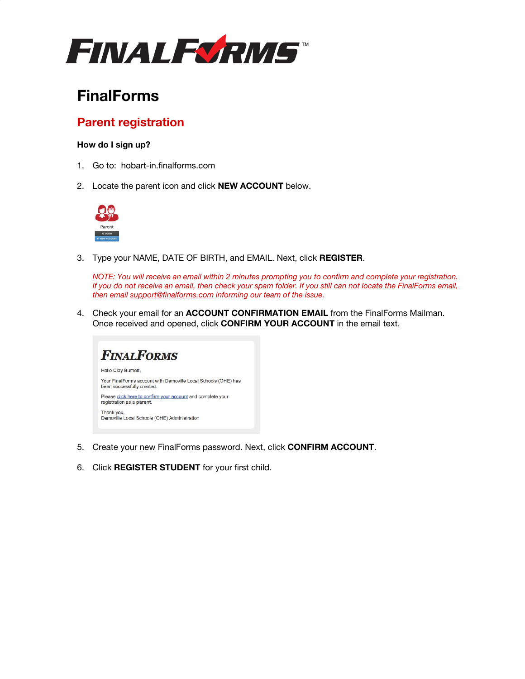

# **FinalForms**

## **Parent registration**

### **How do I sign up?**

- 1. Go to: hobart-in.finalforms.com
- 2. Locate the parent icon and click **NEW ACCOUNT** below.



3. Type your NAME, DATE OF BIRTH, and EMAIL. Next, click **REGISTER**.

*NOTE: You will receive an email within 2 minutes prompting you to confirm and complete your registration. If you do not receive an email, then check your spam folder. If you still can not locate the FinalForms email, then email support@finalforms.com informing our team of the issue.*

4. Check your email for an **ACCOUNT CONFIRMATION EMAIL** from the FinalForms Mailman. Once received and opened, click **CONFIRM YOUR ACCOUNT** in the email text.



- 5. Create your new FinalForms password. Next, click **CONFIRM ACCOUNT**.
- 6. Click **REGISTER STUDENT** for your first child.